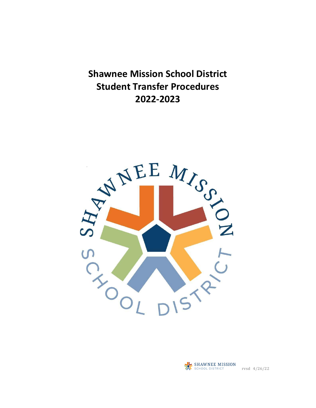**Shawnee Mission School District Student Transfer Procedures 2022-2023**



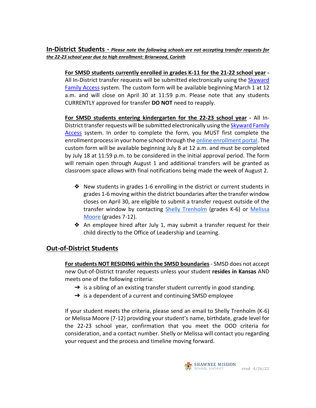**In-District Students -** *Please note the following schools are not accepting transfer requests for the 22-23 school year due to high enrollment: Briarwood, Corinth*

**For SMSD students currently enrolled in grades K-11 for the 21-22 school year -**  All In-District transfer requests will be submitted electronically using the [Skyward](https://skyward.smsd.org/scripts/wsisa.dll/WService=wsEAplus/seplog01.w)  [Family Access](https://skyward.smsd.org/scripts/wsisa.dll/WService=wsEAplus/seplog01.w) system. The custom form will be available beginning March 1 at 12 a.m. and will close on April 30 at 11:59 p.m. Please note that any students CURRENTLY approved for transfer **DO NOT** need to reapply.

**For SMSD students entering kindergarten for the 22-23 school year -** All In-District transfer requests will be submitted electronically using the [Skyward Family](https://skyward.smsd.org/scripts/wsisa.dll/WService=wsEAplus/seplog01.w)  [Access](https://skyward.smsd.org/scripts/wsisa.dll/WService=wsEAplus/seplog01.w) system. In order to complete the form, you MUST first complete the enrollment process in your home school through th[e online enrollment portal.](https://www.smsd.org/families/enrollment) The custom form will be available beginning July 8 at 12 a.m. and must be completed by July 18 at 11:59 p.m. to be considered in the initial approval period. The form will remain open through August 1 and additional transfers will be granted as classroom space allows with final notifications being made the week of August 2.

- ❖ New students in grades 1-6 enrolling in the district or current students in grades 1-6 moving within the district boundaries after the transfer window closes on April 30, are eligible to submit a transfer request outside of the transfer window by contacting [Shelly Trenholm](mailto:shellytrenholm@smsd.org) (grades K-6) or Melissa [Moore](mailto:melissamoore@smsd.org) (grades 7-12).
- ❖ An employee hired after July 1, may submit a transfer request for their child directly to the Office of Leadership and Learning.

## **Out-of-District Students**

**For students NOT RESIDING within the SMSD boundaries** - SMSD does not accept new Out-of-District transfer requests unless your student **resides in Kansas** AND meets one of the following criteria:

- $\rightarrow$  is a sibling of an existing transfer student currently in good standing.
- $\rightarrow$  is a dependent of a current and continuing SMSD employee

If your student meets the criteria, please send an email to Shelly Trenholm (K-6) or Melissa Moore (7-12) providing your student's name, birthdate, grade level for the 22-23 school year, confirmation that you meet the OOD criteria for consideration, and a contact number. Shelly or Melissa will contact you regarding your request and the process and timeline moving forward.

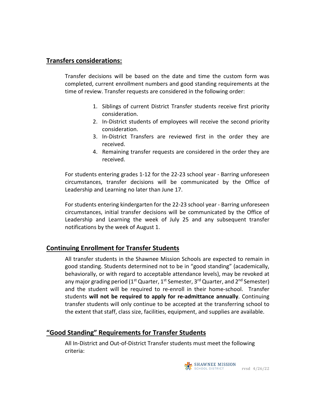## **Transfers considerations:**

Transfer decisions will be based on the date and time the custom form was completed, current enrollment numbers and good standing requirements at the time of review. Transfer requests are considered in the following order:

- 1. Siblings of current District Transfer students receive first priority consideration.
- 2. In-District students of employees will receive the second priority consideration.
- 3. In-District Transfers are reviewed first in the order they are received.
- 4. Remaining transfer requests are considered in the order they are received.

For students entering grades 1-12 for the 22-23 school year - Barring unforeseen circumstances, transfer decisions will be communicated by the Office of Leadership and Learning no later than June 17.

For students entering kindergarten for the 22-23 school year - Barring unforeseen circumstances, initial transfer decisions will be communicated by the Office of Leadership and Learning the week of July 25 and any subsequent transfer notifications by the week of August 1.

## **Continuing Enrollment for Transfer Students**

All transfer students in the Shawnee Mission Schools are expected to remain in good standing. Students determined not to be in "good standing" (academically, behaviorally, or with regard to acceptable attendance levels), may be revoked at any major grading period (1<sup>st</sup> Quarter, 1<sup>st</sup> Semester, 3<sup>rd</sup> Quarter, and 2<sup>nd</sup> Semester) and the student will be required to re-enroll in their home-school. Transfer students **will not be required to apply for re-admittance annually**. Continuing transfer students will only continue to be accepted at the transferring school to the extent that staff, class size, facilities, equipment, and supplies are available.

## **"Good Standing" Requirements for Transfer Students**

All In-District and Out-of-District Transfer students must meet the following criteria:

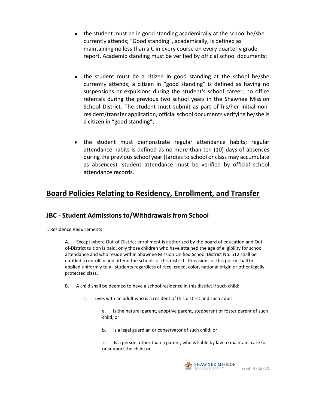- the student must be in good standing academically at the school he/she currently attends; "Good standing", academically, is defined as maintaining no less than a C in every course on every quarterly grade report. Academic standing must be verified by official school documents;
- the student must be a citizen in good standing at the school he/she currently attends; a citizen in "good standing" is defined as having no suspensions or expulsions during the student's school career; no office referrals during the previous two school years in the Shawnee Mission School District. The student must submit as part of his/her initial nonresident/transfer application, official school documents verifying he/she is a citizen in "good standing";
- the student must demonstrate regular attendance habits; regular attendance habits is defined as no more than ten (10) days of absences during the previous school year (tardies to school or class may accumulate as absences); student attendance must be verified by official school attendance records.

# **Board Policies Relating to Residency, Enrollment, and Transfer**

## **JBC - Student Admissions to/Withdrawals from School**

I. Residence Requirements

A. Except where Out-of-District enrollment is authorized by the board of education and Outof-District tuition is paid, only those children who have attained the age of eligibility for school attendance and who reside within Shawnee Mission Unified School District No. 512 shall be entitled to enroll in and attend the schools of this district. Provisions of this policy shall be applied uniformly to all students regardless of race, creed, color, national origin or other legally protected class.

- B. A child shall be deemed to have a school residence in this district if such child:
	- 1. Lives with an adult who is a resident of this district and such adult:
		- a. Is the natural parent, adoptive parent, stepparent or foster parent of such child; or
		- b. Is a legal guardian or conservator of such child; or
		- c. Is a person, other than a parent, who is liable by law to maintain, care for or support the child; or

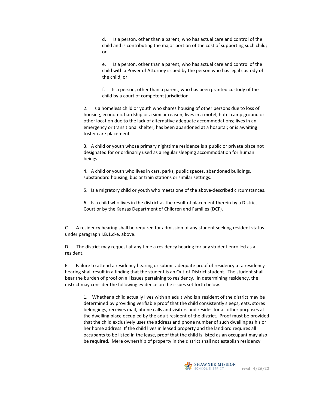d. Is a person, other than a parent, who has actual care and control of the child and is contributing the major portion of the cost of supporting such child; or

e. Is a person, other than a parent, who has actual care and control of the child with a Power of Attorney issued by the person who has legal custody of the child; or

f. Is a person, other than a parent, who has been granted custody of the child by a court of competent jurisdiction.

2. Is a homeless child or youth who shares housing of other persons due to loss of housing, economic hardship or a similar reason; lives in a motel, hotel camp ground or other location due to the lack of alternative adequate accommodations; lives in an emergency or transitional shelter; has been abandoned at a hospital; or is awaiting foster care placement.

3. A child or youth whose primary nighttime residence is a public or private place not designated for or ordinarily used as a regular sleeping accommodation for human beings.

4. A child or youth who lives in cars, parks, public spaces, abandoned buildings, substandard housing, bus or train stations or similar settings.

5. Is a migratory child or youth who meets one of the above-described circumstances.

6. Is a child who lives in the district as the result of placement therein by a District Court or by the Kansas Department of Children and Families (DCF).

C. A residency hearing shall be required for admission of any student seeking resident status under paragraph I.B.1.d-e. above.

D. The district may request at any time a residency hearing for any student enrolled as a resident.

E. Failure to attend a residency hearing or submit adequate proof of residency at a residency hearing shall result in a finding that the student is an Out-of-District student. The student shall bear the burden of proof on all issues pertaining to residency. In determining residency, the district may consider the following evidence on the issues set forth below.

1. Whether a child actually lives with an adult who is a resident of the district may be determined by providing verifiable proof that the child consistently sleeps, eats, stores belongings, receives mail, phone calls and visitors and resides for all other purposes at the dwelling place occupied by the adult resident of the district. Proof must be provided that the child exclusively uses the address and phone number of such dwelling as his or her home address. If the child lives in leased property and the landlord requires all occupants to be listed in the lease, proof that the child is listed as an occupant may also be required. Mere ownership of property in the district shall not establish residency.

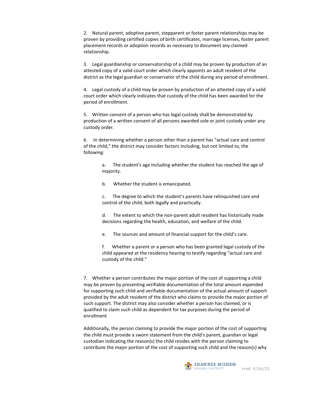2. Natural parent, adoptive parent, stepparent or foster parent relationships may be proven by providing certified copies of birth certificates, marriage licenses, foster parent placement records or adoption records as necessary to document any claimed relationship.

3. Legal guardianship or conservatorship of a child may be proven by production of an attested copy of a valid court order which clearly appoints an adult resident of the district as the legal guardian or conservator of the child during any period of enrollment.

4. Legal custody of a child may be proven by production of an attested copy of a valid court order which clearly indicates that custody of the child has been awarded for the period of enrollment.

5. Written consent of a person who has legal custody shall be demonstrated by production of a written consent of all persons awarded sole or joint custody under any custody order.

6. In determining whether a person other than a parent has "actual care and control of the child," the district may consider factors including, but not limited to, the following:

> a. The student's age including whether the student has reached the age of majority.

b. Whether the student is emancipated.

c. The degree to which the student's parents have relinquished care and control of the child, both legally and practically.

d. The extent to which the non-parent adult resident has historically made decisions regarding the health, education, and welfare of the child.

e. The sources and amount of financial support for the child's care.

f. Whether a parent or a person who has been granted legal custody of the child appeared at the residency hearing to testify regarding "actual care and custody of the child."

7. Whether a person contributes the major portion of the cost of supporting a child may be proven by presenting verifiable documentation of the total amount expended for supporting such child and verifiable documentation of the actual amount of support provided by the adult resident of the district who claims to provide the major portion of such support. The district may also consider whether a person has claimed, or is qualified to claim such child as dependent for tax purposes during the period of enrollment

Additionally, the person claiming to provide the major portion of the cost of supporting the child must provide a sworn statement from the child's parent, guardian or legal custodian indicating the reason(s) the child resides with the person claiming to contribute the major portion of the cost of supporting such child and the reason(s) why

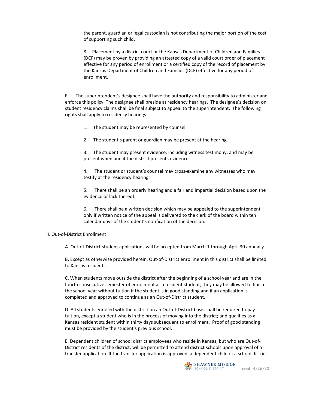the parent, guardian or legal custodian is not contributing the major portion of the cost of supporting such child.

8. Placement by a district court or the Kansas Department of Children and Families (DCF) may be proven by providing an attested copy of a valid court order of placement effective for any period of enrollment or a certified copy of the record of placement by the Kansas Department of Children and Families (DCF) effective for any period of enrollment.

F. The superintendent's designee shall have the authority and responsibility to administer and enforce this policy. The designee shall preside at residency hearings. The designee's decision on student residency claims shall be final subject to appeal to the superintendent. The following rights shall apply to residency hearings:

- 1. The student may be represented by counsel.
- 2. The student's parent or guardian may be present at the hearing.
- 3. The student may present evidence, including witness testimony, and may be present when and if the district presents evidence.

4. The student or student's counsel may cross-examine any witnesses who may testify at the residency hearing.

5. There shall be an orderly hearing and a fair and impartial decision based upon the evidence or lack thereof.

6. There shall be a written decision which may be appealed to the superintendent only if written notice of the appeal is delivered to the clerk of the board within ten calendar days of the student's notification of the decision.

#### II. Out-of-District Enrollment

A. Out-of-District student applications will be accepted from March 1 through April 30 annually.

B. Except as otherwise provided herein, Out-of-District enrollment in this district shall be limited to Kansas residents.

C. When students move outside the district after the beginning of a school year and are in the fourth consecutive semester of enrollment as a resident student, they may be allowed to finish the school year without tuition if the student is in good standing and if an application is completed and approved to continue as an Out-of-District student.

D. All students enrolled with the district on an Out-of-District basis shall be required to pay tuition, except a student who is in the process of moving into the district; and qualifies as a Kansas resident student within thirty days subsequent to enrollment. Proof of good standing must be provided by the student's previous school.

E. Dependent children of school district employees who reside in Kansas, but who are Out-of-District residents of the district, will be permitted to attend district schools upon approval of a transfer application. If the transfer application is approved, a dependent child of a school district

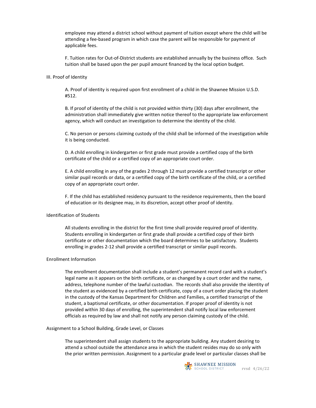employee may attend a district school without payment of tuition except where the child will be attending a fee-based program in which case the parent will be responsible for payment of applicable fees.

F. Tuition rates for Out-of-District students are established annually by the business office. Such tuition shall be based upon the per pupil amount financed by the local option budget.

#### III. Proof of Identity

A. Proof of identity is required upon first enrollment of a child in the Shawnee Mission U.S.D. #512.

B. If proof of identity of the child is not provided within thirty (30) days after enrollment, the administration shall immediately give written notice thereof to the appropriate law enforcement agency, which will conduct an investigation to determine the identity of the child.

C. No person or persons claiming custody of the child shall be informed of the investigation while it is being conducted.

D. A child enrolling in kindergarten or first grade must provide a certified copy of the birth certificate of the child or a certified copy of an appropriate court order.

E. A child enrolling in any of the grades 2 through 12 must provide a certified transcript or other similar pupil records or data, or a certified copy of the birth certificate of the child, or a certified copy of an appropriate court order.

F. If the child has established residency pursuant to the residence requirements, then the board of education or its designee may, in its discretion, accept other proof of identity.

#### Identification of Students

All students enrolling in the district for the first time shall provide required proof of identity. Students enrolling in kindergarten or first grade shall provide a certified copy of their birth certificate or other documentation which the board determines to be satisfactory. Students enrolling in grades 2-12 shall provide a certified transcript or similar pupil records.

#### Enrollment Information

The enrollment documentation shall include a student's permanent record card with a student's legal name as it appears on the birth certificate, or as changed by a court order and the name, address, telephone number of the lawful custodian. The records shall also provide the identity of the student as evidenced by a certified birth certificate, copy of a court order placing the student in the custody of the Kansas Department for Children and Families, a certified transcript of the student, a baptismal certificate, or other documentation. If proper proof of identity is not provided within 30 days of enrolling, the superintendent shall notify local law enforcement officials as required by law and shall not notify any person claiming custody of the child.

#### Assignment to a School Building, Grade Level, or Classes

The superintendent shall assign students to the appropriate building. Any student desiring to attend a school outside the attendance area in which the student resides may do so only with the prior written permission. Assignment to a particular grade level or particular classes shall be

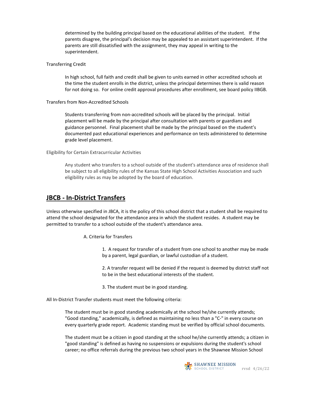determined by the building principal based on the educational abilities of the student. If the parents disagree, the principal's decision may be appealed to an assistant superintendent. If the parents are still dissatisfied with the assignment, they may appeal in writing to the superintendent.

#### Transferring Credit

In high school, full faith and credit shall be given to units earned in other accredited schools at the time the student enrolls in the district, unless the principal determines there is valid reason for not doing so. For online credit approval procedures after enrollment, see board policy IIBGB.

#### Transfers from Non-Accredited Schools

Students transferring from non-accredited schools will be placed by the principal. Initial placement will be made by the principal after consultation with parents or guardians and guidance personnel. Final placement shall be made by the principal based on the student's documented past educational experiences and performance on tests administered to determine grade level placement.

#### Eligibility for Certain Extracurricular Activities

Any student who transfers to a school outside of the student's attendance area of residence shall be subject to all eligibility rules of the Kansas State High School Activities Association and such eligibility rules as may be adopted by the board of education.

### **JBCB - In-District Transfers**

Unless otherwise specified in JBCA, it is the policy of this school district that a student shall be required to attend the school designated for the attendance area in which the student resides. A student may be permitted to transfer to a school outside of the student's attendance area.

A. Criteria for Transfers

1. A request for transfer of a student from one school to another may be made by a parent, legal guardian, or lawful custodian of a student.

2. A transfer request will be denied if the request is deemed by district staff not to be in the best educational interests of the student.

3. The student must be in good standing.

All In-District Transfer students must meet the following criteria:

The student must be in good standing academically at the school he/she currently attends; "Good standing," academically, is defined as maintaining no less than a "C-" in every course on every quarterly grade report. Academic standing must be verified by official school documents.

The student must be a citizen in good standing at the school he/she currently attends; a citizen in "good standing" is defined as having no suspensions or expulsions during the student's school career; no office referrals during the previous two school years in the Shawnee Mission School

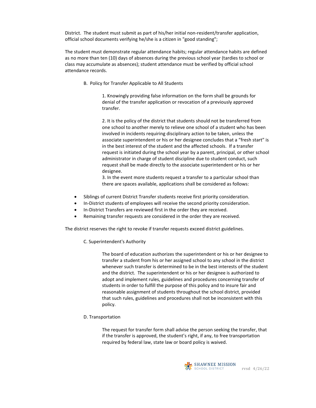District. The student must submit as part of his/her initial non-resident/transfer application, official school documents verifying he/she is a citizen in "good standing";

The student must demonstrate regular attendance habits; regular attendance habits are defined as no more than ten (10) days of absences during the previous school year (tardies to school or class may accumulate as absences); student attendance must be verified by official school attendance records.

B. Policy for Transfer Applicable to All Students

1. Knowingly providing false information on the form shall be grounds for denial of the transfer application or revocation of a previously approved transfer.

2. It is the policy of the district that students should not be transferred from one school to another merely to relieve one school of a student who has been involved in incidents requiring disciplinary action to be taken, unless the associate superintendent or his or her designee concludes that a "fresh start" is in the best interest of the student and the affected schools. If a transfer request is initiated during the school year by a parent, principal, or other school administrator in charge of student discipline due to student conduct, such request shall be made directly to the associate superintendent or his or her designee.

3. In the event more students request a transfer to a particular school than there are spaces available, applications shall be considered as follows:

- Siblings of current District Transfer students receive first priority consideration.
- In-District students of employees will receive the second priority consideration.
- In-District Transfers are reviewed first in the order they are received.
- Remaining transfer requests are considered in the order they are received.

The district reserves the right to revoke if transfer requests exceed district guidelines.

C. Superintendent's Authority

The board of education authorizes the superintendent or his or her designee to transfer a student from his or her assigned school to any school in the district whenever such transfer is determined to be in the best interests of the student and the district. The superintendent or his or her designee is authorized to adopt and implement rules, guidelines and procedures concerning transfer of students in order to fulfill the purpose of this policy and to insure fair and reasonable assignment of students throughout the school district, provided that such rules, guidelines and procedures shall not be inconsistent with this policy.

D. Transportation

The request for transfer form shall advise the person seeking the transfer, that if the transfer is approved, the student's right, if any, to free transportation required by federal law, state law or board policy is waived.